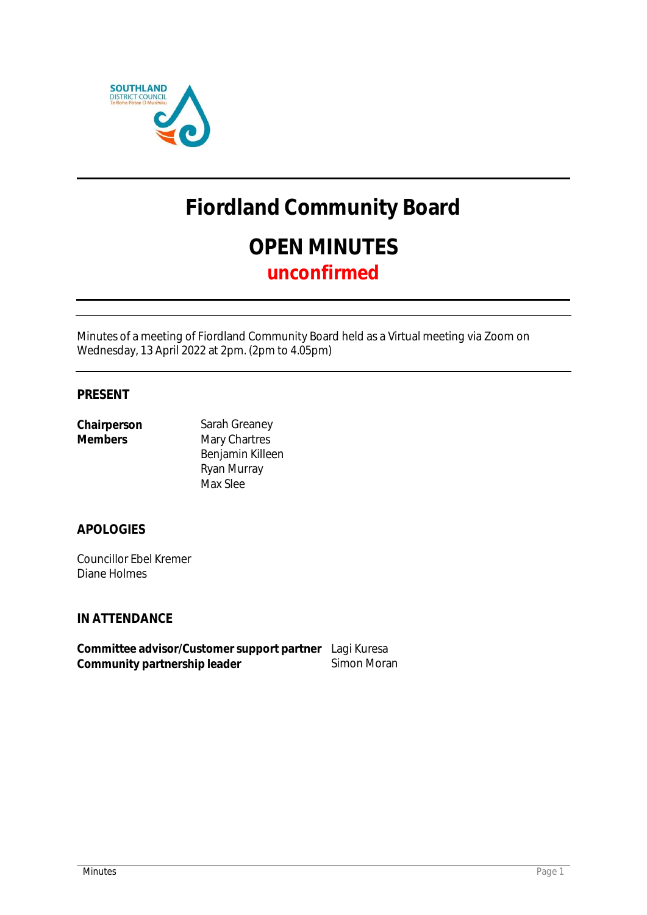

# **Fiordland Community Board OPEN MINUTES unconfirmed**

Minutes of a meeting of Fiordland Community Board held as a Virtual meeting via Zoom on Wednesday, 13 April 2022 at 2pm. (2pm to 4.05pm)

### **PRESENT**

| Chairperson    | Sarah C |
|----------------|---------|
| <b>Members</b> | Mary C  |
|                | Benjam  |

**Greaney hartres** nin Killeen Ryan Murray Max Slee

**APOLOGIES**

Councillor Ebel Kremer Diane Holmes

**IN ATTENDANCE**

**Committee advisor/Customer support partner** Lagi Kuresa Community partnership leader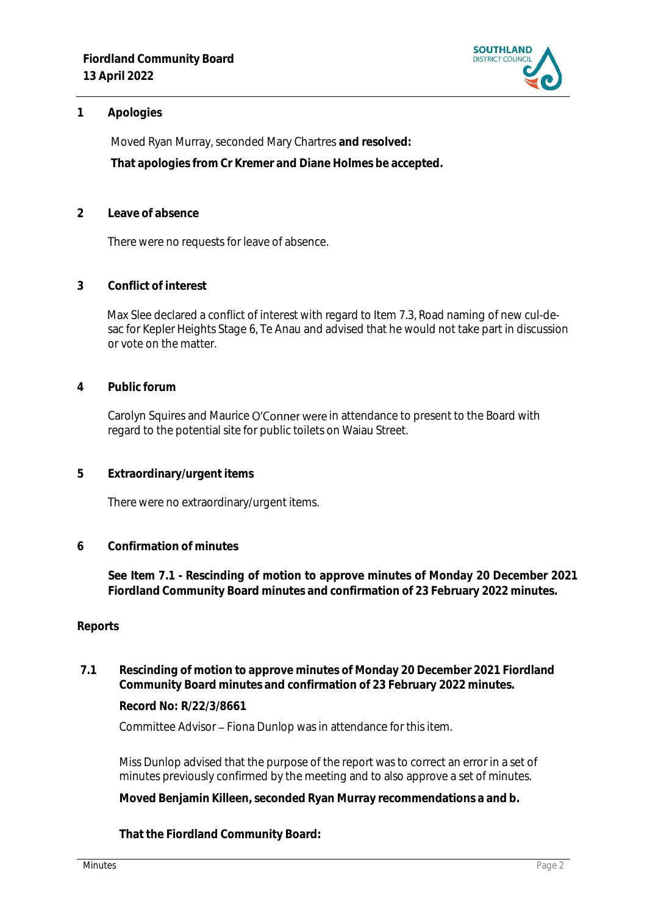

### **1 Apologies**

Moved Ryan Murray, seconded Mary Chartres **and resolved: That apologies from Cr Kremer and Diane Holmes be accepted.** 

**2 Leave of absence** 

There were no requests for leave of absence.

**3 Conflict of interest**

Max Slee declared a conflict of interest with regard to Item 7.3, Road naming of new cul-desac for Kepler Heights Stage 6, Te Anau and advised that he would not take part in discussion or vote on the matter.

**4 Public forum**

Carolyn Squires and Maurice O'Conner were in attendance to present to the Board with regard to the potential site for public toilets on Waiau Street.

**5 Extraordinary/urgent items**

There were no extraordinary/urgent items.

**6 Confirmation of minutes**

**See Item 7.1 - Rescinding of motion to approve minutes of Monday 20 December 2021 Fiordland Community Board minutes and confirmation of 23 February 2022 minutes.**

### **Reports**

**7.1 Rescinding of motion to approve minutes of Monday 20 December 2021 Fiordland Community Board minutes and confirmation of 23 February 2022 minutes.**

**Record No: R/22/3/8661**

Committee Advisor - Fiona Dunlop was in attendance for this item.

Miss Dunlop advised that the purpose of the report was to correct an error in a set of minutes previously confirmed by the meeting and to also approve a set of minutes.

**Moved Benjamin Killeen, seconded Ryan Murray recommendations a and b.**

**That the Fiordland Community Board:**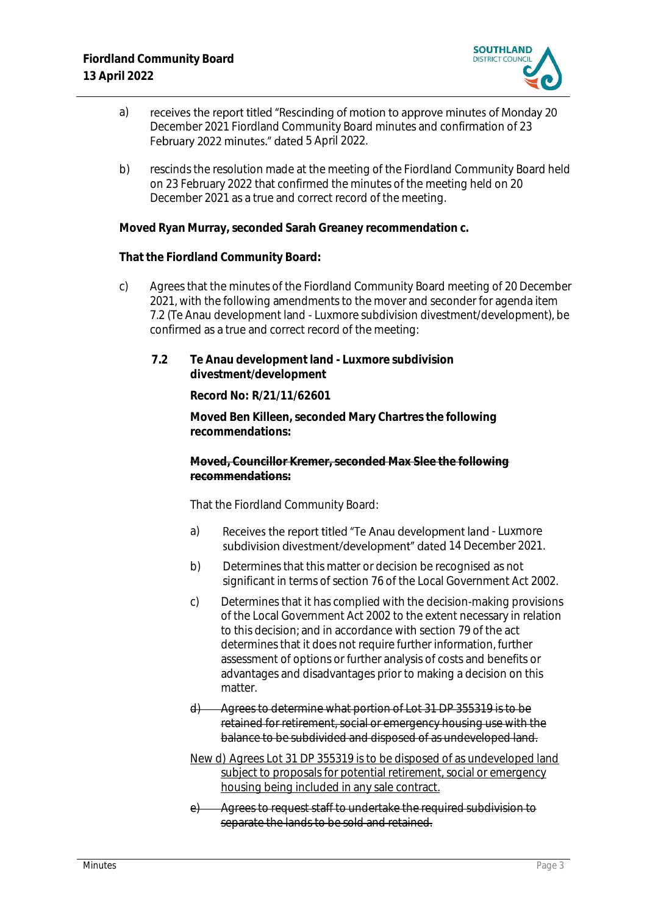

- a) receives the report titled "Rescinding of motion to approve minutes of Monday 20 December 2021 Fiordland Community Board minutes and confirmation of 23 February 2022 minutes." dated 5 April 2022.
- b) rescinds the resolution made at the meeting of the Fiordland Community Board held on 23 February 2022 that confirmed the minutes of the meeting held on 20 December 2021 as a true and correct record of the meeting.

**Moved Ryan Murray, seconded Sarah Greaney recommendation c.** 

**That the Fiordland Community Board:**

- c) Agrees that the minutes of the Fiordland Community Board meeting of 20 December 2021, with the following amendments to the mover and seconder for agenda item 7.2 (Te Anau development land - Luxmore subdivision divestment/development), be confirmed as a true and correct record of the meeting:
	- **7.2 Te Anau development land - Luxmore subdivision divestment/development**

**Record No: R/21/11/62601**

**Moved Ben Killeen, seconded Mary Chartres the following recommendations:**

**Moved, Councillor Kremer, seconded Max Slee the following recommendations:**

That the Fiordland Community Board:

- a) Receives the report titled "Te Anau development land Luxmore subdivision divestment/development" dated 14 December 2021.
- b) Determines that this matter or decision be recognised as not significant in terms of section 76 of the Local Government Act 2002.
- c) Determines that it has complied with the decision-making provisions of the Local Government Act 2002 to the extent necessary in relation to this decision; and in accordance with section 79 of the act determines that it does not require further information, further assessment of options or further analysis of costs and benefits or advantages and disadvantages prior to making a decision on this matter.
- d) Agrees to determine what portion of Lot 31 DP 355319 is to be retained for retirement, social or emergency housing use with the balance to be subdivided and disposed of as undeveloped land.
- New d) Agrees Lot 31 DP 355319 is to be disposed of as undeveloped land subject to proposals for potential retirement, social or emergency housing being included in any sale contract.
- e) Agrees to request staff to undertake the required subdivision to separate the lands to be sold and retained.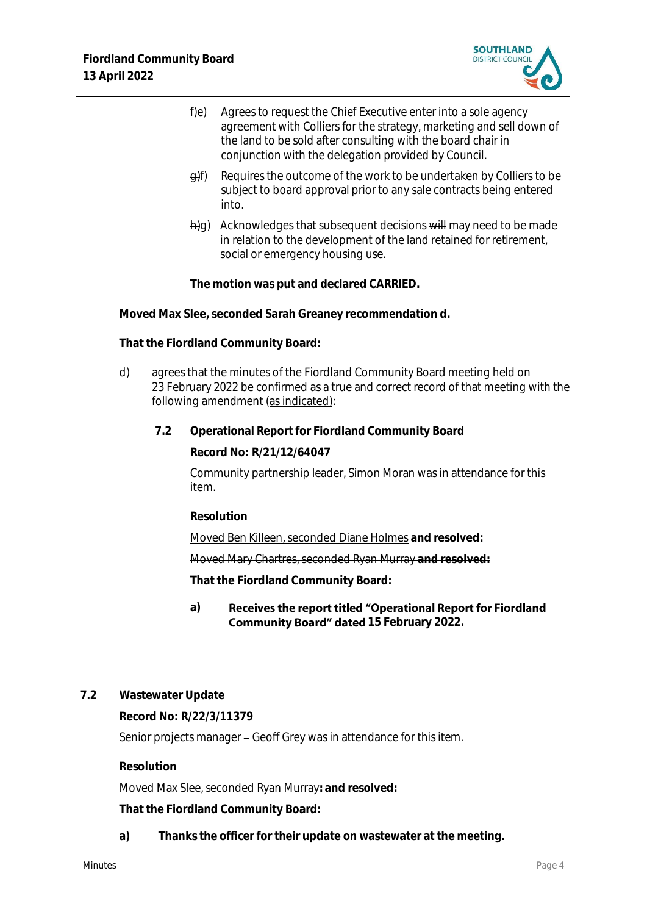

- $f$ ) Agrees to request the Chief Executive enter into a sole agency agreement with Colliers for the strategy, marketing and sell down of the land to be sold after consulting with the board chair in conjunction with the delegation provided by Council.
- $\theta$ f) Requires the outcome of the work to be undertaken by Colliers to be subject to board approval prior to any sale contracts being entered into.
- $\frac{h}{g}$ ) Acknowledges that subsequent decisions will may need to be made in relation to the development of the land retained for retirement, social or emergency housing use.

**The motion was put and declared CARRIED.**

**Moved Max Slee, seconded Sarah Greaney recommendation d.** 

**That the Fiordland Community Board:**

- d) agrees that the minutes of the Fiordland Community Board meeting held on 23 February 2022 be confirmed as a true and correct record of that meeting with the following amendment (as indicated):
	- **7.2 Operational Report for Fiordland Community Board**

**Record No: R/21/12/64047**

Community partnership leader, Simon Moran was in attendance for this item.

**Resolution**

Moved Ben Killeen, seconded Diane Holmes **and resolved:**

Moved Mary Chartres, seconded Ryan Murray **and resolved:**

**That the Fiordland Community Board:**

### **a)** Receives the report titled "Operational Report for Fiordland **Community Board" dated 15 February 2022.**

### **7.2 Wastewater Update**

**Record No: R/22/3/11379**

Senior projects manager – Geoff Grey was in attendance for this item.

**Resolution**

Moved Max Slee, seconded Ryan Murray**: and resolved:**

**That the Fiordland Community Board:**

**a) Thanks the officer for their update on wastewater at the meeting.**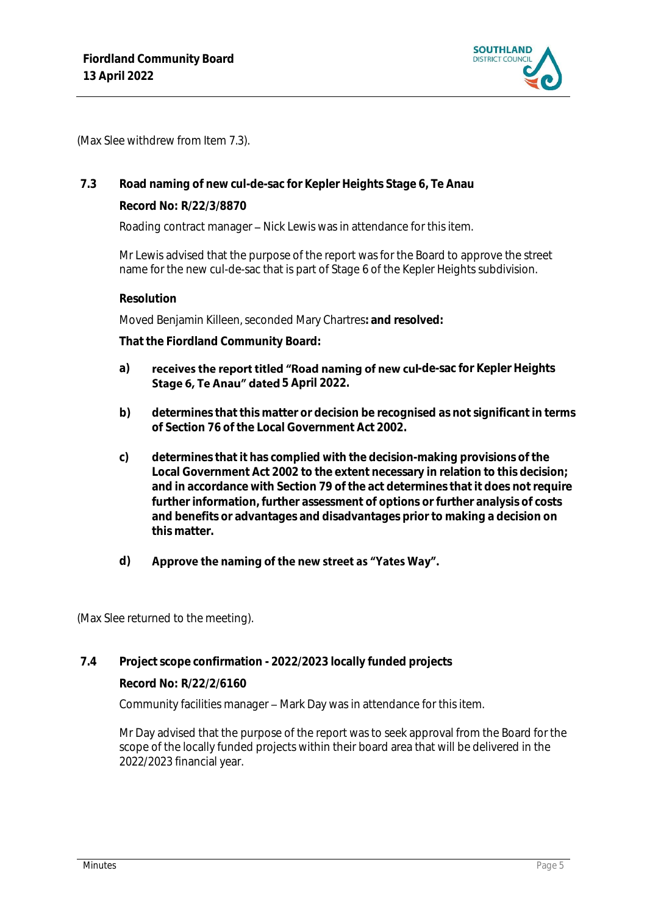

(Max Slee withdrew from Item 7.3).

### **7.3 Road naming of new cul-de-sac for Kepler Heights Stage 6, Te Anau**

**Record No: R/22/3/8870**

Roading contract manager - Nick Lewis was in attendance for this item.

Mr Lewis advised that the purpose of the report wasfor the Board to approve the street name for the new cul-de-sac that is part of Stage 6 of the Kepler Heights subdivision.

### **Resolution**

Moved Benjamin Killeen, seconded Mary Chartres**: and resolved:**

**That the Fiordland Community Board:**

- a) **receives the report titled "Road naming of new cul-de-sac for Kepler Heights Stage 6, Te Anau" dated 5 April 2022.**
- **b) determines that this matter or decision be recognised as not significant in terms of Section 76 of the Local Government Act 2002.**
- **c) determines that it has complied with the decision-making provisions of the Local Government Act 2002 to the extent necessary in relation to this decision; and in accordance with Section 79 of the act determines that it does not require further information, further assessment of options or further analysis of costs and benefits or advantages and disadvantages prior to making a decision on this matter.**

#### **d)** Approve the naming of the new street as "Yates Way".

(Max Slee returned to the meeting).

### **7.4 Project scope confirmation - 2022/2023 locally funded projects**

**Record No: R/22/2/6160**

Community facilities manager - Mark Day was in attendance for this item.

Mr Day advised that the purpose of the report was to seek approval from the Board for the scope of the locally funded projects within their board area that will be delivered in the 2022/2023 financial year.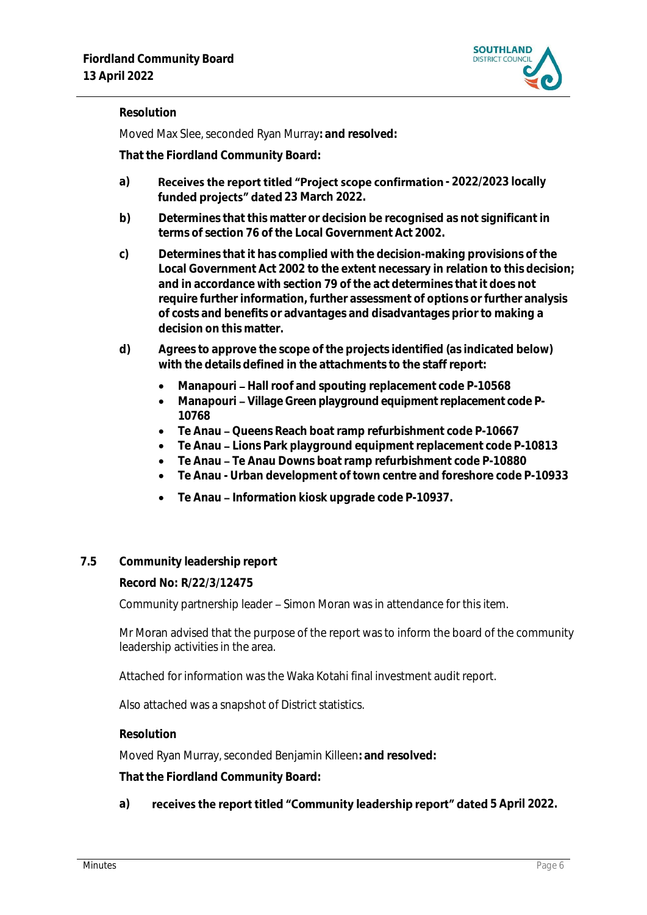

## **Resolution**

Moved Max Slee, seconded Ryan Murray**: and resolved:**

**That the Fiordland Community Board:**

- a) **Receives the report titled "Project scope confirmation 2022/2023 locally** funded projects" dated 23 March 2022.
- **b) Determines that this matter or decision be recognised as not significant in terms of section 76 of the Local Government Act 2002.**
- **c) Determines that it has complied with the decision-making provisions of the Local Government Act 2002 to the extent necessary in relation to this decision; and in accordance with section 79 of the act determines that it does not require further information, further assessment of options or further analysis of costs and benefits or advantages and disadvantages prior to making a decision on this matter.**
- **d) Agrees to approve the scope of the projects identified (as indicated below) with the details defined in the attachments to the staff report:**
	- Manapouri Hall roof and spouting replacement code P-10568
	- Manapouri Village Green playground equipment replacement code P-**10768**
	- Te Anau Queens Reach boat ramp refurbishment code P-10667
	- **Te Anau Lions Park playground equipment replacement code P-10813**
	- **Te Anau Te Anau Downs boat ramp refurbishment code P-10880**
	- **Te Anau - Urban development of town centre and foreshore code P-10933**
	- **Te Anau Information kiosk upgrade code P-10937.**
- **7.5 Community leadership report**

### **Record No: R/22/3/12475**

Community partnership leader – Simon Moran was in attendance for this item.

Mr Moran advised that the purpose of the report was to inform the board of the community leadership activities in the area.

Attached for information was the Waka Kotahi final investment audit report.

Also attached was a snapshot of District statistics.

**Resolution**

Moved Ryan Murray, seconded Benjamin Killeen**: and resolved:**

**That the Fiordland Community Board:**

a) **receives the report titled "Community leadership report" dated 5 April 2022.**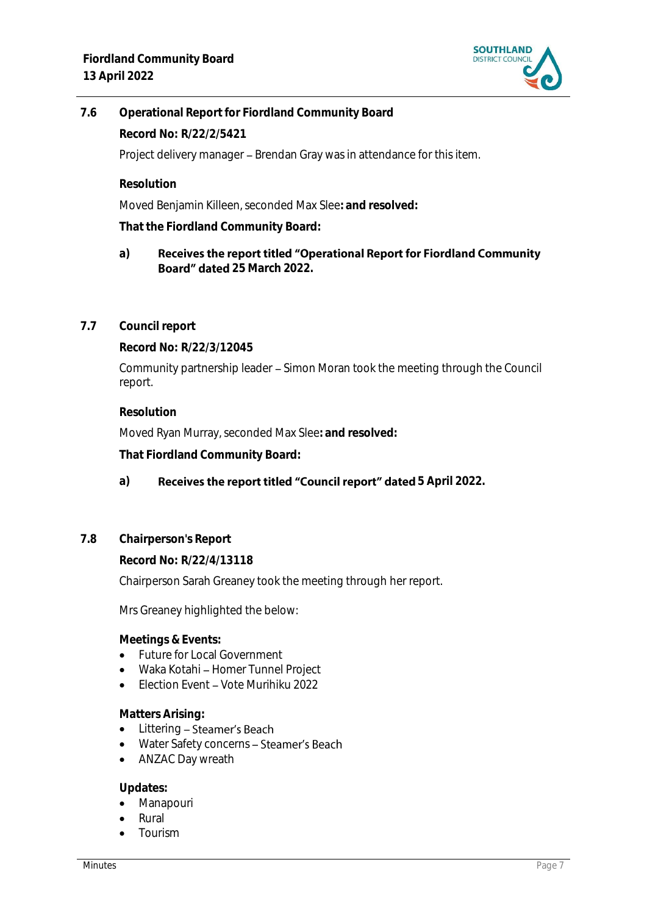

**7.6 Operational Report for Fiordland Community Board Record No: R/22/2/5421** Project delivery manager - Brendan Gray was in attendance for this item.

**Resolution**

Moved Benjamin Killeen, seconded Max Slee**: and resolved:**

**That the Fiordland Community Board:**

- **a)** Receives the report titled "Operational Report for Fiordland Community Board" dated 25 March 2022.
- **7.7 Council report**

**Record No: R/22/3/12045**

Community partnership leader - Simon Moran took the meeting through the Council report.

### **Resolution**

Moved Ryan Murray, seconded Max Slee**: and resolved:**

**That Fiordland Community Board:**

## a) **Receives the report titled "Council report" dated** 5 April 2022.

**7.8 Chairperson's Report**

**Record No: R/22/4/13118**

Chairperson Sarah Greaney took the meeting through her report.

Mrs Greaney highlighted the below:

**Meetings & Events:**

- Future for Local Government
- Waka Kotahi Homer Tunnel Project
- $\bullet$  Election Event Vote Murihiku 2022

### **Matters Arising:**

- Littering Steamer's Beach
- Water Safety concerns Steamer's Beach
- ANZAC Day wreath

**Updates:**

- Manapouri
- Rural
- Tourism